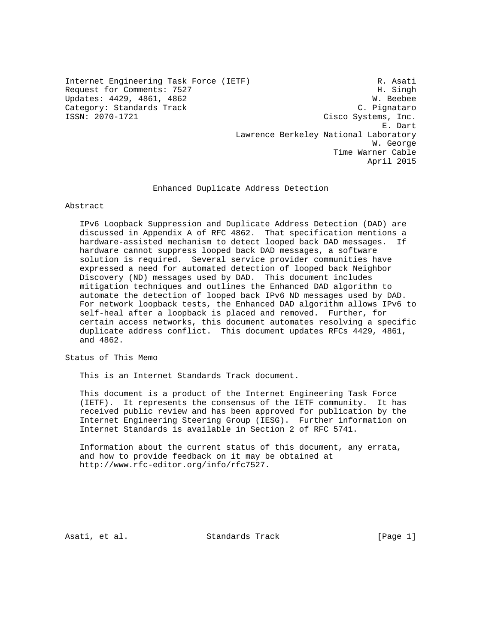Internet Engineering Task Force (IETF) R. Asati Request for Comments: 7527<br>
Updates: 4429, 4861, 4862<br>
W. Beebee Updates: 4429, 4861, 4862 Category: Standards Track C. Pignataro C. Pignataro C. Pignataro C. Pignataro C. Pignataro C. Pignataro C. Pignataro C. Pignataro C. Pignataro C. Pignataro C. Pignataro C. Pignataro C. Pignataro C. Pignataro C. Pignataro C Cisco Systems, Inc. E. Dart Lawrence Berkeley National Laboratory W. George Time Warner Cable

Enhanced Duplicate Address Detection

### Abstract

 IPv6 Loopback Suppression and Duplicate Address Detection (DAD) are discussed in Appendix A of RFC 4862. That specification mentions a hardware-assisted mechanism to detect looped back DAD messages. If hardware cannot suppress looped back DAD messages, a software solution is required. Several service provider communities have expressed a need for automated detection of looped back Neighbor Discovery (ND) messages used by DAD. This document includes mitigation techniques and outlines the Enhanced DAD algorithm to automate the detection of looped back IPv6 ND messages used by DAD. For network loopback tests, the Enhanced DAD algorithm allows IPv6 to self-heal after a loopback is placed and removed. Further, for certain access networks, this document automates resolving a specific duplicate address conflict. This document updates RFCs 4429, 4861, and 4862.

Status of This Memo

This is an Internet Standards Track document.

 This document is a product of the Internet Engineering Task Force (IETF). It represents the consensus of the IETF community. It has received public review and has been approved for publication by the Internet Engineering Steering Group (IESG). Further information on Internet Standards is available in Section 2 of RFC 5741.

 Information about the current status of this document, any errata, and how to provide feedback on it may be obtained at http://www.rfc-editor.org/info/rfc7527.

Asati, et al. Standards Track [Page 1]

April 2015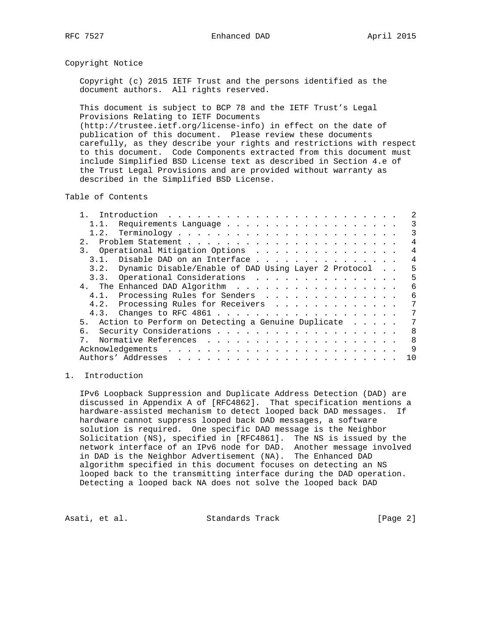## Copyright Notice

 Copyright (c) 2015 IETF Trust and the persons identified as the document authors. All rights reserved.

 This document is subject to BCP 78 and the IETF Trust's Legal Provisions Relating to IETF Documents (http://trustee.ietf.org/license-info) in effect on the date of publication of this document. Please review these documents

 carefully, as they describe your rights and restrictions with respect to this document. Code Components extracted from this document must include Simplified BSD License text as described in Section 4.e of the Trust Legal Provisions and are provided without warranty as described in the Simplified BSD License.

Table of Contents

|                | 1.1. Requirements Language                                |  | 3              |
|----------------|-----------------------------------------------------------|--|----------------|
|                |                                                           |  | 3              |
| 2.1            |                                                           |  | $\overline{4}$ |
|                | 3. Operational Mitigation Options                         |  | $\overline{4}$ |
|                | 3.1. Disable DAD on an Interface                          |  | 4              |
|                | 3.2. Dynamic Disable/Enable of DAD Using Layer 2 Protocol |  | 5              |
|                | 3.3. Operational Considerations                           |  | 5              |
|                | 4. The Enhanced DAD Algorithm                             |  | 6              |
|                | 4.1. Processing Rules for Senders                         |  | 6              |
|                | 4.2. Processing Rules for Receivers                       |  | 7              |
|                |                                                           |  | 7              |
| 5 <sub>1</sub> | Action to Perform on Detecting a Genuine Duplicate        |  | 7              |
| б.             |                                                           |  | 8              |
| $7_{\circ}$    |                                                           |  | 8              |
|                |                                                           |  | 9              |
|                |                                                           |  | 10             |

# 1. Introduction

 IPv6 Loopback Suppression and Duplicate Address Detection (DAD) are discussed in Appendix A of [RFC4862]. That specification mentions a hardware-assisted mechanism to detect looped back DAD messages. If hardware cannot suppress looped back DAD messages, a software solution is required. One specific DAD message is the Neighbor Solicitation (NS), specified in [RFC4861]. The NS is issued by the network interface of an IPv6 node for DAD. Another message involved in DAD is the Neighbor Advertisement (NA). The Enhanced DAD algorithm specified in this document focuses on detecting an NS looped back to the transmitting interface during the DAD operation. Detecting a looped back NA does not solve the looped back DAD

Asati, et al. Standards Track [Page 2]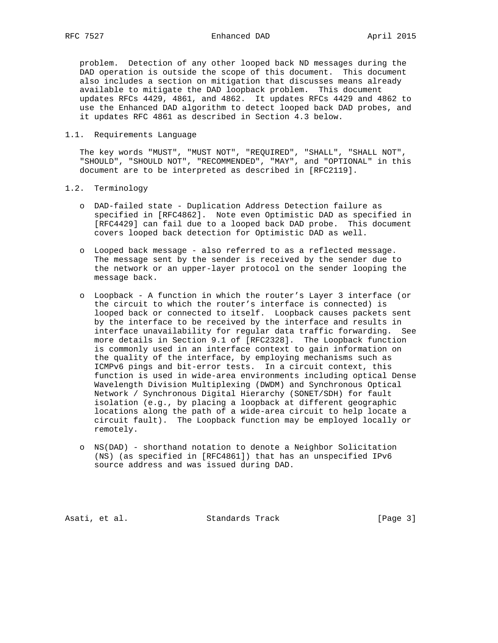problem. Detection of any other looped back ND messages during the DAD operation is outside the scope of this document. This document also includes a section on mitigation that discusses means already available to mitigate the DAD loopback problem. This document updates RFCs 4429, 4861, and 4862. It updates RFCs 4429 and 4862 to use the Enhanced DAD algorithm to detect looped back DAD probes, and it updates RFC 4861 as described in Section 4.3 below.

#### 1.1. Requirements Language

 The key words "MUST", "MUST NOT", "REQUIRED", "SHALL", "SHALL NOT", "SHOULD", "SHOULD NOT", "RECOMMENDED", "MAY", and "OPTIONAL" in this document are to be interpreted as described in [RFC2119].

### 1.2. Terminology

- o DAD-failed state Duplication Address Detection failure as specified in [RFC4862]. Note even Optimistic DAD as specified in [RFC4429] can fail due to a looped back DAD probe. This document covers looped back detection for Optimistic DAD as well.
- o Looped back message also referred to as a reflected message. The message sent by the sender is received by the sender due to the network or an upper-layer protocol on the sender looping the message back.
- o Loopback A function in which the router's Layer 3 interface (or the circuit to which the router's interface is connected) is looped back or connected to itself. Loopback causes packets sent by the interface to be received by the interface and results in interface unavailability for regular data traffic forwarding. See more details in Section 9.1 of [RFC2328]. The Loopback function is commonly used in an interface context to gain information on the quality of the interface, by employing mechanisms such as ICMPv6 pings and bit-error tests. In a circuit context, this function is used in wide-area environments including optical Dense Wavelength Division Multiplexing (DWDM) and Synchronous Optical Network / Synchronous Digital Hierarchy (SONET/SDH) for fault isolation (e.g., by placing a loopback at different geographic locations along the path of a wide-area circuit to help locate a circuit fault). The Loopback function may be employed locally or remotely.
- o NS(DAD) shorthand notation to denote a Neighbor Solicitation (NS) (as specified in [RFC4861]) that has an unspecified IPv6 source address and was issued during DAD.

Asati, et al. Standards Track [Page 3]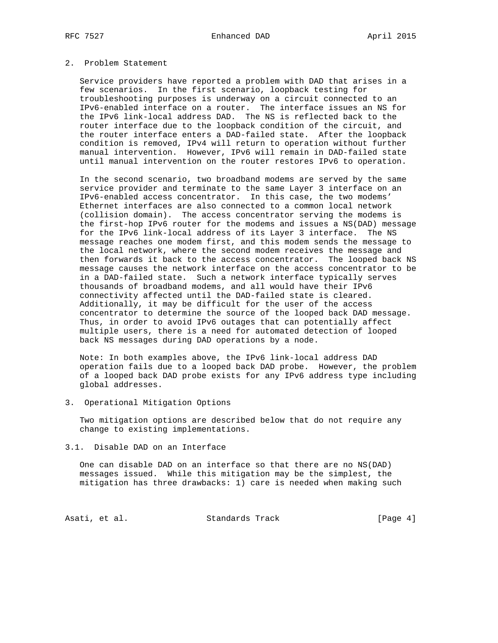# 2. Problem Statement

 Service providers have reported a problem with DAD that arises in a few scenarios. In the first scenario, loopback testing for troubleshooting purposes is underway on a circuit connected to an IPv6-enabled interface on a router. The interface issues an NS for the IPv6 link-local address DAD. The NS is reflected back to the router interface due to the loopback condition of the circuit, and the router interface enters a DAD-failed state. After the loopback condition is removed, IPv4 will return to operation without further manual intervention. However, IPv6 will remain in DAD-failed state until manual intervention on the router restores IPv6 to operation.

 In the second scenario, two broadband modems are served by the same service provider and terminate to the same Layer 3 interface on an IPv6-enabled access concentrator. In this case, the two modems' Ethernet interfaces are also connected to a common local network (collision domain). The access concentrator serving the modems is the first-hop IPv6 router for the modems and issues a NS(DAD) message for the IPv6 link-local address of its Layer 3 interface. The NS message reaches one modem first, and this modem sends the message to the local network, where the second modem receives the message and then forwards it back to the access concentrator. The looped back NS message causes the network interface on the access concentrator to be in a DAD-failed state. Such a network interface typically serves thousands of broadband modems, and all would have their IPv6 connectivity affected until the DAD-failed state is cleared. Additionally, it may be difficult for the user of the access concentrator to determine the source of the looped back DAD message. Thus, in order to avoid IPv6 outages that can potentially affect multiple users, there is a need for automated detection of looped back NS messages during DAD operations by a node.

 Note: In both examples above, the IPv6 link-local address DAD operation fails due to a looped back DAD probe. However, the problem of a looped back DAD probe exists for any IPv6 address type including global addresses.

3. Operational Mitigation Options

 Two mitigation options are described below that do not require any change to existing implementations.

3.1. Disable DAD on an Interface

 One can disable DAD on an interface so that there are no NS(DAD) messages issued. While this mitigation may be the simplest, the mitigation has three drawbacks: 1) care is needed when making such

Asati, et al. Standards Track [Page 4]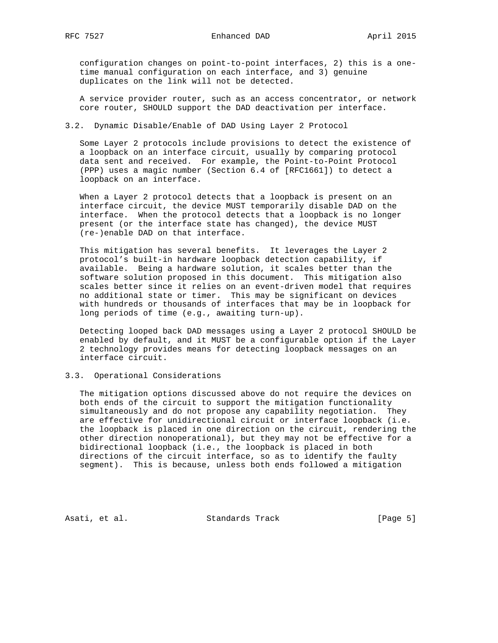configuration changes on point-to-point interfaces, 2) this is a one time manual configuration on each interface, and 3) genuine duplicates on the link will not be detected.

 A service provider router, such as an access concentrator, or network core router, SHOULD support the DAD deactivation per interface.

## 3.2. Dynamic Disable/Enable of DAD Using Layer 2 Protocol

 Some Layer 2 protocols include provisions to detect the existence of a loopback on an interface circuit, usually by comparing protocol data sent and received. For example, the Point-to-Point Protocol (PPP) uses a magic number (Section 6.4 of [RFC1661]) to detect a loopback on an interface.

 When a Layer 2 protocol detects that a loopback is present on an interface circuit, the device MUST temporarily disable DAD on the interface. When the protocol detects that a loopback is no longer present (or the interface state has changed), the device MUST (re-)enable DAD on that interface.

 This mitigation has several benefits. It leverages the Layer 2 protocol's built-in hardware loopback detection capability, if available. Being a hardware solution, it scales better than the software solution proposed in this document. This mitigation also scales better since it relies on an event-driven model that requires no additional state or timer. This may be significant on devices with hundreds or thousands of interfaces that may be in loopback for long periods of time (e.g., awaiting turn-up).

 Detecting looped back DAD messages using a Layer 2 protocol SHOULD be enabled by default, and it MUST be a configurable option if the Layer 2 technology provides means for detecting loopback messages on an interface circuit.

# 3.3. Operational Considerations

 The mitigation options discussed above do not require the devices on both ends of the circuit to support the mitigation functionality simultaneously and do not propose any capability negotiation. They are effective for unidirectional circuit or interface loopback (i.e. the loopback is placed in one direction on the circuit, rendering the other direction nonoperational), but they may not be effective for a bidirectional loopback (i.e., the loopback is placed in both directions of the circuit interface, so as to identify the faulty segment). This is because, unless both ends followed a mitigation

Asati, et al. Standards Track [Page 5]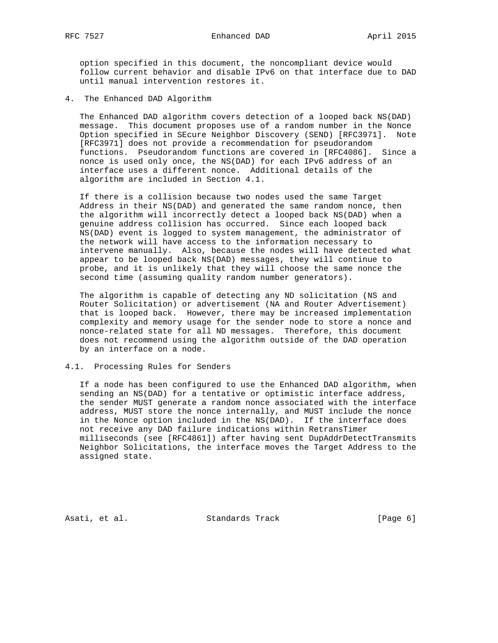option specified in this document, the noncompliant device would follow current behavior and disable IPv6 on that interface due to DAD until manual intervention restores it.

4. The Enhanced DAD Algorithm

 The Enhanced DAD algorithm covers detection of a looped back NS(DAD) message. This document proposes use of a random number in the Nonce Option specified in SEcure Neighbor Discovery (SEND) [RFC3971]. Note [RFC3971] does not provide a recommendation for pseudorandom functions. Pseudorandom functions are covered in [RFC4086]. Since a nonce is used only once, the NS(DAD) for each IPv6 address of an interface uses a different nonce. Additional details of the algorithm are included in Section 4.1.

 If there is a collision because two nodes used the same Target Address in their NS(DAD) and generated the same random nonce, then the algorithm will incorrectly detect a looped back NS(DAD) when a genuine address collision has occurred. Since each looped back NS(DAD) event is logged to system management, the administrator of the network will have access to the information necessary to intervene manually. Also, because the nodes will have detected what appear to be looped back NS(DAD) messages, they will continue to probe, and it is unlikely that they will choose the same nonce the second time (assuming quality random number generators).

 The algorithm is capable of detecting any ND solicitation (NS and Router Solicitation) or advertisement (NA and Router Advertisement) that is looped back. However, there may be increased implementation complexity and memory usage for the sender node to store a nonce and nonce-related state for all ND messages. Therefore, this document does not recommend using the algorithm outside of the DAD operation by an interface on a node.

# 4.1. Processing Rules for Senders

 If a node has been configured to use the Enhanced DAD algorithm, when sending an NS(DAD) for a tentative or optimistic interface address, the sender MUST generate a random nonce associated with the interface address, MUST store the nonce internally, and MUST include the nonce in the Nonce option included in the NS(DAD). If the interface does not receive any DAD failure indications within RetransTimer milliseconds (see [RFC4861]) after having sent DupAddrDetectTransmits Neighbor Solicitations, the interface moves the Target Address to the assigned state.

Asati, et al. Standards Track (Page 6)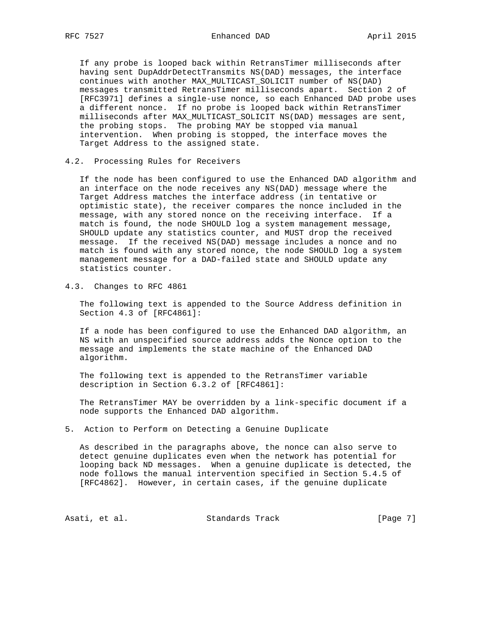If any probe is looped back within RetransTimer milliseconds after having sent DupAddrDetectTransmits NS(DAD) messages, the interface continues with another MAX\_MULTICAST\_SOLICIT number of NS(DAD) messages transmitted RetransTimer milliseconds apart. Section 2 of [RFC3971] defines a single-use nonce, so each Enhanced DAD probe uses a different nonce. If no probe is looped back within RetransTimer milliseconds after MAX\_MULTICAST\_SOLICIT NS(DAD) messages are sent, the probing stops. The probing MAY be stopped via manual intervention. When probing is stopped, the interface moves the Target Address to the assigned state.

4.2. Processing Rules for Receivers

 If the node has been configured to use the Enhanced DAD algorithm and an interface on the node receives any NS(DAD) message where the Target Address matches the interface address (in tentative or optimistic state), the receiver compares the nonce included in the message, with any stored nonce on the receiving interface. If a match is found, the node SHOULD log a system management message, SHOULD update any statistics counter, and MUST drop the received message. If the received NS(DAD) message includes a nonce and no match is found with any stored nonce, the node SHOULD log a system management message for a DAD-failed state and SHOULD update any statistics counter.

4.3. Changes to RFC 4861

 The following text is appended to the Source Address definition in Section 4.3 of [RFC4861]:

 If a node has been configured to use the Enhanced DAD algorithm, an NS with an unspecified source address adds the Nonce option to the message and implements the state machine of the Enhanced DAD algorithm.

 The following text is appended to the RetransTimer variable description in Section 6.3.2 of [RFC4861]:

 The RetransTimer MAY be overridden by a link-specific document if a node supports the Enhanced DAD algorithm.

5. Action to Perform on Detecting a Genuine Duplicate

 As described in the paragraphs above, the nonce can also serve to detect genuine duplicates even when the network has potential for looping back ND messages. When a genuine duplicate is detected, the node follows the manual intervention specified in Section 5.4.5 of [RFC4862]. However, in certain cases, if the genuine duplicate

Asati, et al. Standards Track [Page 7]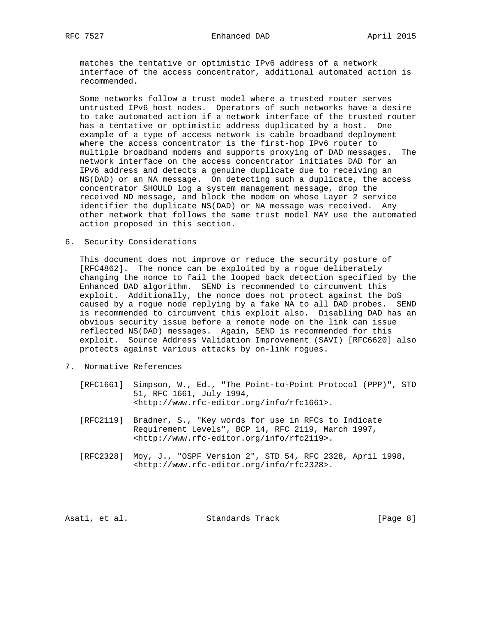matches the tentative or optimistic IPv6 address of a network interface of the access concentrator, additional automated action is recommended.

 Some networks follow a trust model where a trusted router serves untrusted IPv6 host nodes. Operators of such networks have a desire to take automated action if a network interface of the trusted router has a tentative or optimistic address duplicated by a host. One example of a type of access network is cable broadband deployment where the access concentrator is the first-hop IPv6 router to multiple broadband modems and supports proxying of DAD messages. The network interface on the access concentrator initiates DAD for an IPv6 address and detects a genuine duplicate due to receiving an NS(DAD) or an NA message. On detecting such a duplicate, the access concentrator SHOULD log a system management message, drop the received ND message, and block the modem on whose Layer 2 service identifier the duplicate NS(DAD) or NA message was received. Any other network that follows the same trust model MAY use the automated action proposed in this section.

6. Security Considerations

 This document does not improve or reduce the security posture of [RFC4862]. The nonce can be exploited by a rogue deliberately changing the nonce to fail the looped back detection specified by the Enhanced DAD algorithm. SEND is recommended to circumvent this exploit. Additionally, the nonce does not protect against the DoS caused by a rogue node replying by a fake NA to all DAD probes. SEND is recommended to circumvent this exploit also. Disabling DAD has an obvious security issue before a remote node on the link can issue reflected NS(DAD) messages. Again, SEND is recommended for this exploit. Source Address Validation Improvement (SAVI) [RFC6620] also protects against various attacks by on-link rogues.

- 7. Normative References
	- [RFC1661] Simpson, W., Ed., "The Point-to-Point Protocol (PPP)", STD 51, RFC 1661, July 1994, <http://www.rfc-editor.org/info/rfc1661>.
	- [RFC2119] Bradner, S., "Key words for use in RFCs to Indicate Requirement Levels", BCP 14, RFC 2119, March 1997, <http://www.rfc-editor.org/info/rfc2119>.
	- [RFC2328] Moy, J., "OSPF Version 2", STD 54, RFC 2328, April 1998, <http://www.rfc-editor.org/info/rfc2328>.

Asati, et al. Standards Track [Page 8]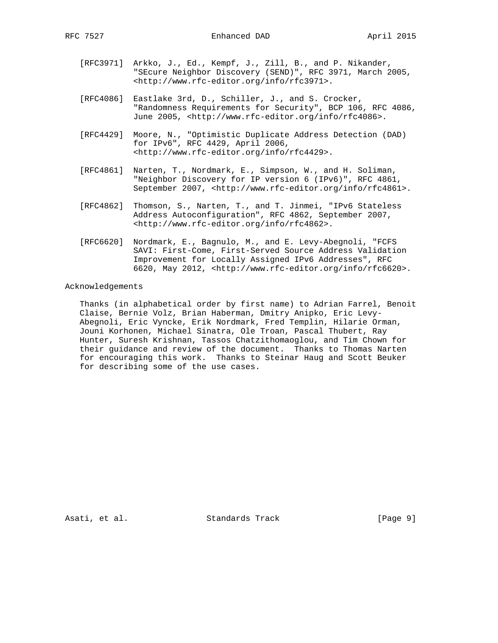- [RFC3971] Arkko, J., Ed., Kempf, J., Zill, B., and P. Nikander, "SEcure Neighbor Discovery (SEND)", RFC 3971, March 2005, <http://www.rfc-editor.org/info/rfc3971>.
- [RFC4086] Eastlake 3rd, D., Schiller, J., and S. Crocker, "Randomness Requirements for Security", BCP 106, RFC 4086, June 2005, <http://www.rfc-editor.org/info/rfc4086>.
- [RFC4429] Moore, N., "Optimistic Duplicate Address Detection (DAD) for IPv6", RFC 4429, April 2006, <http://www.rfc-editor.org/info/rfc4429>.
- [RFC4861] Narten, T., Nordmark, E., Simpson, W., and H. Soliman, "Neighbor Discovery for IP version 6 (IPv6)", RFC 4861, September 2007, <http://www.rfc-editor.org/info/rfc4861>.
- [RFC4862] Thomson, S., Narten, T., and T. Jinmei, "IPv6 Stateless Address Autoconfiguration", RFC 4862, September 2007, <http://www.rfc-editor.org/info/rfc4862>.
- [RFC6620] Nordmark, E., Bagnulo, M., and E. Levy-Abegnoli, "FCFS SAVI: First-Come, First-Served Source Address Validation Improvement for Locally Assigned IPv6 Addresses", RFC 6620, May 2012, <http://www.rfc-editor.org/info/rfc6620>.

### Acknowledgements

 Thanks (in alphabetical order by first name) to Adrian Farrel, Benoit Claise, Bernie Volz, Brian Haberman, Dmitry Anipko, Eric Levy- Abegnoli, Eric Vyncke, Erik Nordmark, Fred Templin, Hilarie Orman, Jouni Korhonen, Michael Sinatra, Ole Troan, Pascal Thubert, Ray Hunter, Suresh Krishnan, Tassos Chatzithomaoglou, and Tim Chown for their guidance and review of the document. Thanks to Thomas Narten for encouraging this work. Thanks to Steinar Haug and Scott Beuker for describing some of the use cases.

Asati, et al. Standards Track [Page 9]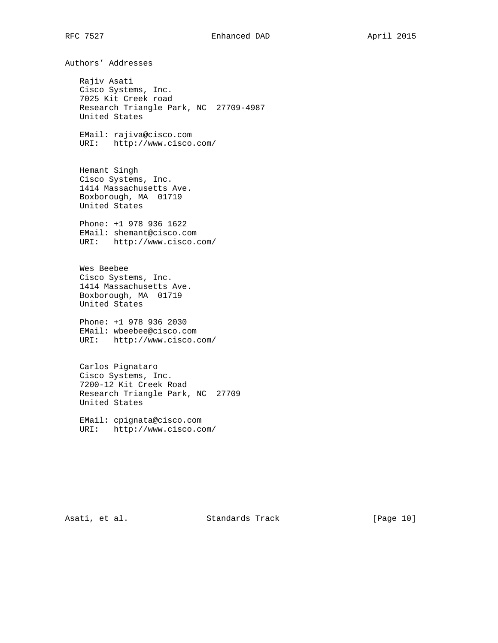Authors' Addresses Rajiv Asati Cisco Systems, Inc. 7025 Kit Creek road Research Triangle Park, NC 27709-4987 United States EMail: rajiva@cisco.com URI: http://www.cisco.com/ Hemant Singh Cisco Systems, Inc. 1414 Massachusetts Ave. Boxborough, MA 01719 United States Phone: +1 978 936 1622 EMail: shemant@cisco.com URI: http://www.cisco.com/ Wes Beebee Cisco Systems, Inc. 1414 Massachusetts Ave. Boxborough, MA 01719 United States Phone: +1 978 936 2030 EMail: wbeebee@cisco.com URI: http://www.cisco.com/ Carlos Pignataro Cisco Systems, Inc. 7200-12 Kit Creek Road Research Triangle Park, NC 27709 United States EMail: cpignata@cisco.com URI: http://www.cisco.com/

Asati, et al. Standards Track [Page 10]